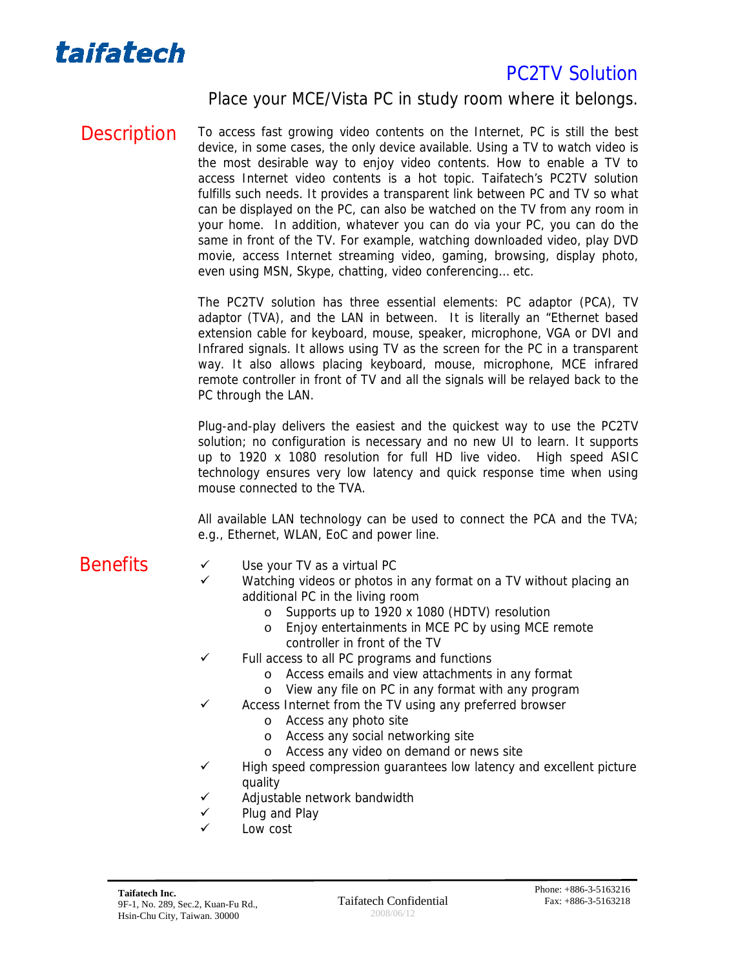

Place your MCE/Vista PC in study room where it belongs.

Description To access fast growing video contents on the Internet, PC is still the best device, in some cases, the only device available. Using a TV to watch video is the most desirable way to enjoy video contents. How to enable a TV to access Internet video contents is a hot topic. Taifatech's PC2TV solution fulfills such needs. It provides a transparent link between PC and TV so what can be displayed on the PC, can also be watched on the TV from any room in your home. In addition, whatever you can do via your PC, you can do the same in front of the TV. For example, watching downloaded video, play DVD movie, access Internet streaming video, gaming, browsing, display photo, even using MSN, Skype, chatting, video conferencing… etc.

> The PC2TV solution has three essential elements: PC adaptor (PCA), TV adaptor (TVA), and the LAN in between. It is literally an "Ethernet based extension cable for keyboard, mouse, speaker, microphone, VGA or DVI and Infrared signals. It allows using TV as the screen for the PC in a transparent way. It also allows placing keyboard, mouse, microphone, MCE infrared remote controller in front of TV and all the signals will be relayed back to the PC through the LAN.

> Plug-and-play delivers the easiest and the quickest way to use the PC2TV solution; no configuration is necessary and no new UI to learn. It supports up to 1920 x 1080 resolution for full HD live video. High speed ASIC technology ensures very low latency and quick response time when using mouse connected to the TVA.

> All available LAN technology can be used to connect the PCA and the TVA; e.g., Ethernet, WLAN, EoC and power line.

- 
- $Benefits \qquad \qquad \vee \qquad$  Use your TV as a virtual PC
	- Watching videos or photos in any format on a TV without placing an additional PC in the living room
		- o Supports up to 1920 x 1080 (HDTV) resolution
		- o Enjoy entertainments in MCE PC by using MCE remote controller in front of the TV
	- $\checkmark$  Full access to all PC programs and functions
		- o Access emails and view attachments in any format
		- o View any file on PC in any format with any program
		- Access Internet from the TV using any preferred browser
			- o Access any photo site
				- o Access any social networking site
				- o Access any video on demand or news site
	- $\checkmark$  High speed compression guarantees low latency and excellent picture quality
	- $\checkmark$  Adjustable network bandwidth
	- $\checkmark$  Plug and Play
	- Low cost